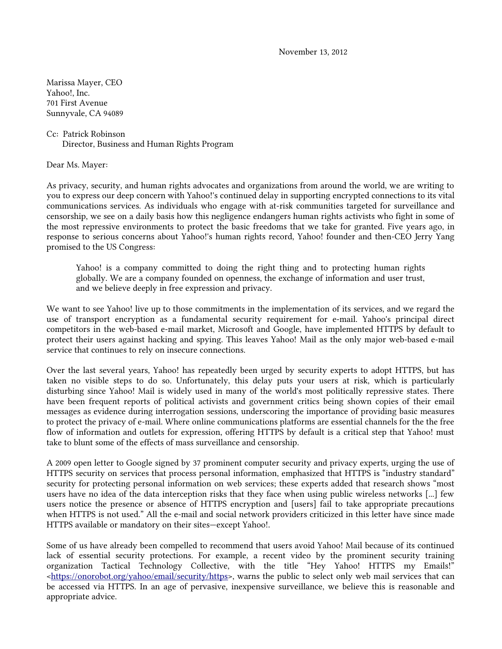November 13, 2012

Marissa Mayer, CEO Yahoo!, Inc. 701 First Avenue Sunnyvale, CA 94089

Cc: Patrick Robinson Director, Business and Human Rights Program

Dear Ms. Mayer:

As privacy, security, and human rights advocates and organizations from around the world, we are writing to you to express our deep concern with Yahoo!'s continued delay in supporting encrypted connections to its vital communications services. As individuals who engage with at-risk communities targeted for surveillance and censorship, we see on a daily basis how this negligence endangers human rights activists who fight in some of the most repressive environments to protect the basic freedoms that we take for granted. Five years ago, in response to serious concerns about Yahoo!'s human rights record, Yahoo! founder and then-CEO Jerry Yang promised to the US Congress:

Yahoo! is a company committed to doing the right thing and to protecting human rights globally. We are a company founded on openness, the exchange of information and user trust, and we believe deeply in free expression and privacy.

We want to see Yahoo! live up to those commitments in the implementation of its services, and we regard the use of transport encryption as a fundamental security requirement for e-mail. Yahoo's principal direct competitors in the web-based e-mail market, Microsoft and Google, have implemented HTTPS by default to protect their users against hacking and spying. This leaves Yahoo! Mail as the only major web-based e-mail service that continues to rely on insecure connections.

Over the last several years, Yahoo! has repeatedly been urged by security experts to adopt HTTPS, but has taken no visible steps to do so. Unfortunately, this delay puts your users at risk, which is particularly disturbing since Yahoo! Mail is widely used in many of the world's most politically repressive states. There have been frequent reports of political activists and government critics being shown copies of their email messages as evidence during interrogation sessions, underscoring the importance of providing basic measures to protect the privacy of e-mail. Where online communications platforms are essential channels for the the free flow of information and outlets for expression, offering HTTPS by default is a critical step that Yahoo! must take to blunt some of the effects of mass surveillance and censorship.

A 2009 open letter to Google signed by 37 prominent computer security and privacy experts, urging the use of HTTPS security on services that process personal information, emphasized that HTTPS is "industry standard" security for protecting personal information on web services; these experts added that research shows "most users have no idea of the data interception risks that they face when using public wireless networks [...] few users notice the presence or absence of HTTPS encryption and [users] fail to take appropriate precautions when HTTPS is not used." All the e-mail and social network providers criticized in this letter have since made HTTPS available or mandatory on their sites—except Yahoo!.

Some of us have already been compelled to recommend that users avoid Yahoo! Mail because of its continued lack of essential security protections. For example, a recent video by the prominent security training organization Tactical Technology Collective, with the title "Hey Yahoo! HTTPS my Emails!" [<https://onorobot.org/yahoo/email/security/https>](https://onorobot.org/yahoo/email/security/https), warns the public to select only web mail services that can be accessed via HTTPS. In an age of pervasive, inexpensive surveillance, we believe this is reasonable and appropriate advice.